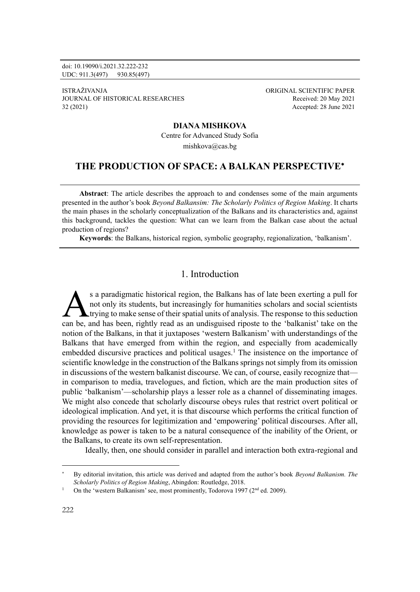doi: 10.19090/i.2021.32.222-232 UDC: 911.3(497) 930.85(497)

ISTRAŽIVANJA ORIGINAL SCIENTIFIC PAPER JOURNAL OF HISTORICAL RESEARCHES Received: 20 May 2021 32 (2021) Accepted: 28 June 2021

#### **DIANA MISHKOVA**

Centre for Advanced Study Sofia mishkova@cas.bg

## **THE PRODUCTION OF SPACE: A BALKAN PERSPECTIVE**

**Abstract**: The article describes the approach to and condenses some of the main arguments presented in the author's book *Beyond Balkansim: The Scholarly Politics of Region Making*. It charts the main phases in the scholarly conceptualization of the Balkans and its characteristics and, against this background, tackles the question: What can we learn from the Balkan case about the actual production of regions?

**Keywords**: the Balkans, historical region, symbolic geography, regionalization, 'balkanism'.

# 1. Introduction

s a paradigmatic historical region, the Balkans has of late been exerting a pull for not only its students, but increasingly for humanities scholars and social scientists trying to make sense of their spatial units of analysis. The response to this seduction s a paradigmatic historical region, the Balkans has of late been exerting a pull for not only its students, but increasingly for humanities scholars and social scientists trying to make sense of their spatial units of anal notion of the Balkans, in that it juxtaposes 'western Balkanism' with understandings of the Balkans that have emerged from within the region, and especially from academically embedded discursive practices and political usages.<sup>1</sup> The insistence on the importance of scientific knowledge in the construction of the Balkans springs not simply from its omission in discussions of the western balkanist discourse. We can, of course, easily recognize that in comparison to media, travelogues, and fiction, which are the main production sites of public 'balkanism'—scholarship plays a lesser role as a channel of disseminating images. We might also concede that scholarly discourse obeys rules that restrict overt political or ideological implication. And yet, it is that discourse which performs the critical function of providing the resources for legitimization and 'empowering' political discourses. After all, knowledge as power is taken to be a natural consequence of the inability of the Orient, or the Balkans, to create its own self-representation.

Ideally, then, one should consider in parallel and interaction both extra-regional and

By editorial invitation, this article was derived and adapted from the author's book *Beyond Balkanism. The Scholarly Politics of Region Making*, Abingdon: Routledge, 2018.

On the 'western Balkanism' see, most prominently, Todorova 1997 (2<sup>nd</sup> ed. 2009).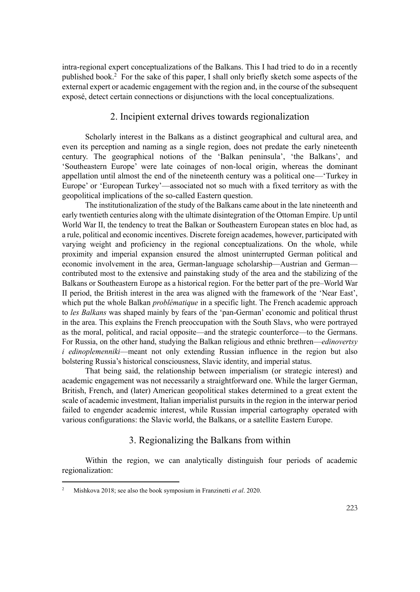intra-regional expert conceptualizations of the Balkans. This I had tried to do in a recently published book.<sup>2</sup> For the sake of this paper, I shall only briefly sketch some aspects of the external expert or academic engagement with the region and, in the course of the subsequent exposé, detect certain connections or disjunctions with the local conceptualizations.

### 2. Incipient external drives towards regionalization

Scholarly interest in the Balkans as a distinct geographical and cultural area, and even its perception and naming as a single region, does not predate the early nineteenth century. The geographical notions of the 'Balkan peninsula', 'the Balkans', and 'Southeastern Europe' were late coinages of non-local origin, whereas the dominant appellation until almost the end of the nineteenth century was a political one—'Turkey in Europe' or 'European Turkey'—associated not so much with a fixed territory as with the geopolitical implications of the so-called Eastern question.

The institutionalization of the study of the Balkans came about in the late nineteenth and early twentieth centuries along with the ultimate disintegration of the Ottoman Empire. Up until World War II, the tendency to treat the Balkan or Southeastern European states en bloc had, as a rule, political and economic incentives. Discrete foreign academes, however, participated with varying weight and proficiency in the regional conceptualizations. On the whole, while proximity and imperial expansion ensured the almost uninterrupted German political and economic involvement in the area, German-language scholarship—Austrian and German contributed most to the extensive and painstaking study of the area and the stabilizing of the Balkans or Southeastern Europe as a historical region. For the better part of the pre–World War II period, the British interest in the area was aligned with the framework of the 'Near East', which put the whole Balkan *problématique* in a specific light. The French academic approach to *les Balkans* was shaped mainly by fears of the 'pan-German' economic and political thrust in the area. This explains the French preoccupation with the South Slavs, who were portrayed as the moral, political, and racial opposite—and the strategic counterforce—to the Germans. For Russia, on the other hand, studying the Balkan religious and ethnic brethren—*edinovertsy i edinoplemenniki*—meant not only extending Russian influence in the region but also bolstering Russia's historical consciousness, Slavic identity, and imperial status.

That being said, the relationship between imperialism (or strategic interest) and academic engagement was not necessarily a straightforward one. While the larger German, British, French, and (later) American geopolitical stakes determined to a great extent the scale of academic investment, Italian imperialist pursuits in the region in the interwar period failed to engender academic interest, while Russian imperial cartography operated with various configurations: the Slavic world, the Balkans, or a satellite Eastern Europe.

# 3. Regionalizing the Balkans from within

Within the region, we can analytically distinguish four periods of academic regionalization:

<sup>2</sup> Mishkova 2018; see also the book symposium in Franzinetti *et al*. 2020.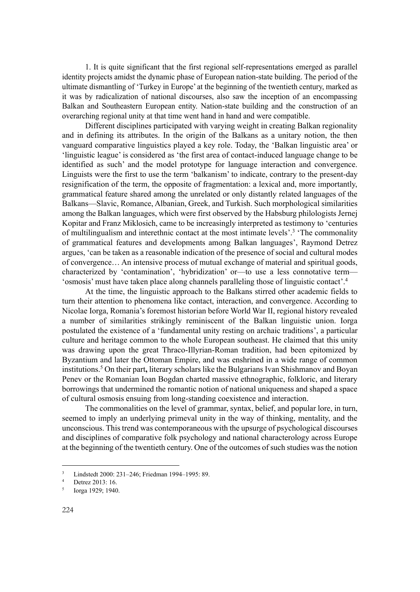1. It is quite significant that the first regional self-representations emerged as parallel identity projects amidst the dynamic phase of European nation-state building. The period of the ultimate dismantling of 'Turkey in Europe' at the beginning of the twentieth century, marked as it was by radicalization of national discourses, also saw the inception of an encompassing Balkan and Southeastern European entity. Nation-state building and the construction of an overarching regional unity at that time went hand in hand and were compatible.

Different disciplines participated with varying weight in creating Balkan regionality and in defining its attributes. In the origin of the Balkans as a unitary notion, the then vanguard comparative linguistics played a key role. Today, the 'Balkan linguistic area' or 'linguistic league' is considered as 'the first area of contact-induced language change to be identified as such' and the model prototype for language interaction and convergence. Linguists were the first to use the term 'balkanism' to indicate, contrary to the present-day resignification of the term, the opposite of fragmentation: a lexical and, more importantly, grammatical feature shared among the unrelated or only distantly related languages of the Balkans—Slavic, Romance, Albanian, Greek, and Turkish. Such morphological similarities among the Balkan languages, which were first observed by the Habsburg philologists Jernej Kopitar and Franz Miklosich, came to be increasingly interpreted as testimony to 'centuries of multilingualism and interethnic contact at the most intimate levels'.<sup>3</sup> 'The commonality of grammatical features and developments among Balkan languages', Raymond Detrez argues, 'can be taken as a reasonable indication of the presence of social and cultural modes of convergence… An intensive process of mutual exchange of material and spiritual goods, characterized by 'contamination', 'hybridization' or—to use a less connotative term— 'osmosis' must have taken place along channels paralleling those of linguistic contact'.<sup>4</sup>

At the time, the linguistic approach to the Balkans stirred other academic fields to turn their attention to phenomena like contact, interaction, and convergence. According to Nicolae Iorga, Romania's foremost historian before World War II, regional history revealed a number of similarities strikingly reminiscent of the Balkan linguistic union. Iorga postulated the existence of a 'fundamental unity resting on archaic traditions', a particular culture and heritage common to the whole European southeast. He claimed that this unity was drawing upon the great Thraco-Illyrian-Roman tradition, had been epitomized by Byzantium and later the Ottoman Empire, and was enshrined in a wide range of common institutions.<sup>5</sup> On their part**,** literary scholars like the Bulgarians Ivan Shishmanov and Boyan Penev or the Romanian Ioan Bogdan charted massive ethnographic, folkloric, and literary borrowings that undermined the romantic notion of national uniqueness and shaped a space of cultural osmosis ensuing from long-standing coexistence and interaction.

The commonalities on the level of grammar, syntax, belief, and popular lore, in turn, seemed to imply an underlying primeval unity in the way of thinking, mentality, and the unconscious. This trend was contemporaneous with the upsurge of psychological discourses and disciplines of comparative folk psychology and national characterology across Europe at the beginning of the twentieth century. One of the outcomes of such studies was the notion

<sup>&</sup>lt;sup>3</sup> Lindstedt 2000: 231–246; Friedman 1994–1995: 89.

Detrez 2013: 16.

<sup>5</sup> Iorga 1929; 1940.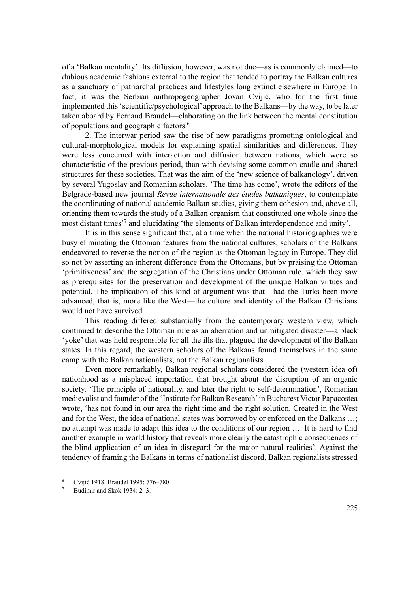of a 'Balkan mentality'. Its diffusion, however, was not due—as is commonly claimed—to dubious academic fashions external to the region that tended to portray the Balkan cultures as a sanctuary of patriarchal practices and lifestyles long extinct elsewhere in Europe. In fact, it was the Serbian anthropogeographer Jovan Cvijić, who for the first time implemented this 'scientific/psychological' approach to the Balkans—by the way, to be later taken aboard by Fernand Braudel—elaborating on the link between the mental constitution of populations and geographic factors.<sup>6</sup>

2. The interwar period saw the rise of new paradigms promoting ontological and cultural-morphological models for explaining spatial similarities and differences. They were less concerned with interaction and diffusion between nations, which were so characteristic of the previous period, than with devising some common cradle and shared structures for these societies. That was the aim of the 'new science of balkanology', driven by several Yugoslav and Romanian scholars. 'The time has come', wrote the editors of the Belgrade-based new journal *Revue internationale des études balkaniques*, to contemplate the coordinating of national academic Balkan studies, giving them cohesion and, above all, orienting them towards the study of a Balkan organism that constituted one whole since the most distant times' 7 and elucidating 'the elements of Balkan interdependence and unity'.

It is in this sense significant that, at a time when the national historiographies were busy eliminating the Ottoman features from the national cultures, scholars of the Balkans endeavored to reverse the notion of the region as the Ottoman legacy in Europe. They did so not by asserting an inherent difference from the Ottomans, but by praising the Ottoman 'primitiveness' and the segregation of the Christians under Ottoman rule, which they saw as prerequisites for the preservation and development of the unique Balkan virtues and potential. The implication of this kind of argument was that—had the Turks been more advanced, that is, more like the West—the culture and identity of the Balkan Christians would not have survived.

This reading differed substantially from the contemporary western view, which continued to describe the Ottoman rule as an aberration and unmitigated disaster—a black 'yoke' that was held responsible for all the ills that plagued the development of the Balkan states. In this regard, the western scholars of the Balkans found themselves in the same camp with the Balkan nationalists, not the Balkan regionalists.

Even more remarkably, Balkan regional scholars considered the (western idea of) nationhood as a misplaced importation that brought about the disruption of an organic society. 'The principle of nationality, and later the right to self-determination', Romanian medievalist and founder of the 'Institute for Balkan Research'in Bucharest Victor Papacostea wrote, 'has not found in our area the right time and the right solution. Created in the West and for the West, the idea of national states was borrowed by or enforced on the Balkans …; no attempt was made to adapt this idea to the conditions of our region …. It is hard to find another example in world history that reveals more clearly the catastrophic consequences of the blind application of an idea in disregard for the major natural realities'. Against the tendency of framing the Balkans in terms of nationalist discord, Balkan regionalists stressed

<sup>6</sup> Cvijić 1918; Braudel 1995: 776–780.

Budimir and Skok 1934: 2–3.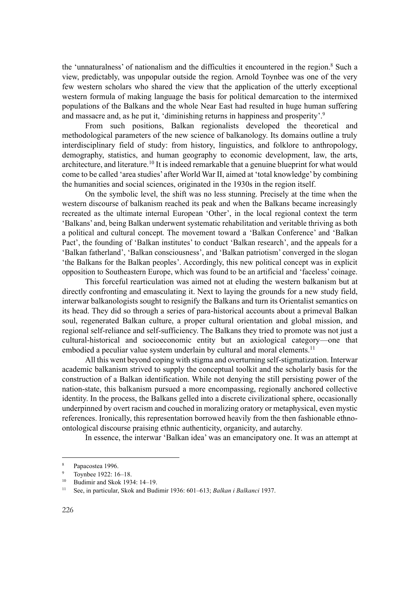the 'unnaturalness' of nationalism and the difficulties it encountered in the region.<sup>8</sup> Such a view, predictably, was unpopular outside the region. Arnold Toynbee was one of the very few western scholars who shared the view that the application of the utterly exceptional western formula of making language the basis for political demarcation to the intermixed populations of the Balkans and the whole Near East had resulted in huge human suffering and massacre and, as he put it, 'diminishing returns in happiness and prosperity'.<sup>9</sup>

From such positions, Balkan regionalists developed the theoretical and methodological parameters of the new science of balkanology. Its domains outline a truly interdisciplinary field of study: from history, linguistics, and folklore to anthropology, demography, statistics, and human geography to economic development, law, the arts, architecture, and literature.<sup>10</sup> It is indeed remarkable that a genuine blueprint for what would come to be called 'area studies' after World War II, aimed at 'total knowledge' by combining the humanities and social sciences, originated in the 1930s in the region itself.

On the symbolic level, the shift was no less stunning. Precisely at the time when the western discourse of balkanism reached its peak and when the Balkans became increasingly recreated as the ultimate internal European 'Other', in the local regional context the term 'Balkans' and, being Balkan underwent systematic rehabilitation and veritable thriving as both a political and cultural concept. The movement toward a 'Balkan Conference' and 'Balkan Pact', the founding of 'Balkan institutes' to conduct 'Balkan research', and the appeals for a 'Balkan fatherland', 'Balkan consciousness', and 'Balkan patriotism' converged in the slogan 'the Balkans for the Balkan peoples'. Accordingly, this new political concept was in explicit opposition to Southeastern Europe, which was found to be an artificial and 'faceless' coinage.

This forceful rearticulation was aimed not at eluding the western balkanism but at directly confronting and emasculating it. Next to laying the grounds for a new study field, interwar balkanologists sought to resignify the Balkans and turn its Orientalist semantics on its head. They did so through a series of para-historical accounts about a primeval Balkan soul, regenerated Balkan culture, a proper cultural orientation and global mission, and regional self-reliance and self-sufficiency. The Balkans they tried to promote was not just a cultural-historical and socioeconomic entity but an axiological category—one that embodied a peculiar value system underlain by cultural and moral elements.<sup>11</sup>

All this went beyond coping with stigma and overturning self-stigmatization. Interwar academic balkanism strived to supply the conceptual toolkit and the scholarly basis for the construction of a Balkan identification. While not denying the still persisting power of the nation-state, this balkanism pursued a more encompassing, regionally anchored collective identity. In the process, the Balkans gelled into a discrete civilizational sphere, occasionally underpinned by overt racism and couched in moralizing oratory or metaphysical, even mystic references. Ironically, this representation borrowed heavily from the then fashionable ethnoontological discourse praising ethnic authenticity, organicity, and autarchy.

In essence, the interwar 'Balkan idea' was an emancipatory one. It was an attempt at

 $\frac{8}{9}$  Papacostea 1996.

Toynbee 1922: 16-18.

<sup>10</sup> Budimir and Skok 1934: 14–19.

<sup>11</sup> See, in particular, Skok and Budimir 1936: 601–613; *Balkan i Balkanci* 1937.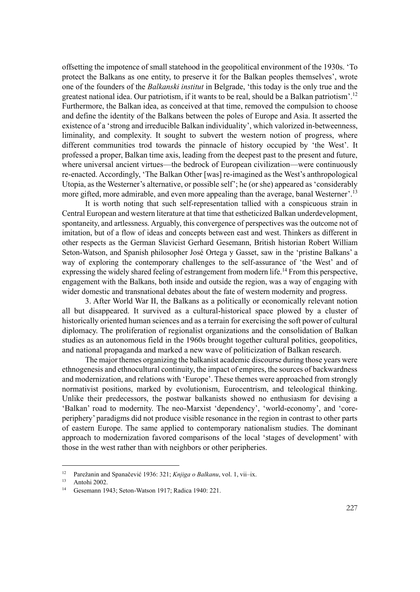offsetting the impotence of small statehood in the geopolitical environment of the 1930s. 'To protect the Balkans as one entity, to preserve it for the Balkan peoples themselves', wrote one of the founders of the *Balkanski institut* in Belgrade, 'this today is the only true and the greatest national idea. Our patriotism, if it wants to be real, should be a Balkan patriotism'.<sup>12</sup> Furthermore, the Balkan idea, as conceived at that time, removed the compulsion to choose and define the identity of the Balkans between the poles of Europe and Asia. It asserted the existence of a 'strong and irreducible Balkan individuality', which valorized in-betweenness, liminality, and complexity. It sought to subvert the western notion of progress, where different communities trod towards the pinnacle of history occupied by 'the West'. It professed a proper, Balkan time axis, leading from the deepest past to the present and future, where universal ancient virtues—the bedrock of European civilization—were continuously re-enacted. Accordingly, 'The Balkan Other [was] re-imagined as the West's anthropological Utopia, as the Westerner's alternative, or possible self'; he (or she) appeared as 'considerably more gifted, more admirable, and even more appealing than the average, banal Westerner'.<sup>13</sup>

It is worth noting that such self-representation tallied with a conspicuous strain in Central European and western literature at that time that estheticized Balkan underdevelopment, spontaneity, and artlessness. Arguably, this convergence of perspectives was the outcome not of imitation, but of a flow of ideas and concepts between east and west. Thinkers as different in other respects as the German Slavicist Gerhard Gesemann, British historian Robert William Seton-Watson, and Spanish philosopher José Ortega y Gasset, saw in the 'pristine Balkans' a way of exploring the contemporary challenges to the self-assurance of 'the West' and of expressing the widely shared feeling of estrangement from modern life.<sup>14</sup> From this perspective, engagement with the Balkans, both inside and outside the region, was a way of engaging with wider domestic and transnational debates about the fate of western modernity and progress.

3. After World War II, the Balkans as a politically or economically relevant notion all but disappeared. It survived as a cultural-historical space plowed by a cluster of historically oriented human sciences and as a terrain for exercising the soft power of cultural diplomacy. The proliferation of regionalist organizations and the consolidation of Balkan studies as an autonomous field in the 1960s brought together cultural politics, geopolitics, and national propaganda and marked a new wave of politicization of Balkan research.

The major themes organizing the balkanist academic discourse during those years were ethnogenesis and ethnocultural continuity, the impact of empires, the sources of backwardness and modernization, and relations with 'Europe'. These themes were approached from strongly normativist positions, marked by evolutionism, Eurocentrism, and teleological thinking. Unlike their predecessors, the postwar balkanists showed no enthusiasm for devising a 'Balkan' road to modernity. The neo-Marxist 'dependency', 'world-economy', and 'coreperiphery' paradigms did not produce visible resonance in the region in contrast to other parts of eastern Europe. The same applied to contemporary nationalism studies. The dominant approach to modernization favored comparisons of the local 'stages of development' with those in the west rather than with neighbors or other peripheries.

<sup>&</sup>lt;sup>12</sup> Parežanin and Spanačević 1936: 321; *Knjiga o Balkanu*, vol. 1, vii–ix.<br><sup>13</sup> Antoki 2002

Antohi 2002.

<sup>14</sup> Gesemann 1943; Seton-Watson 1917; Radica 1940: 221.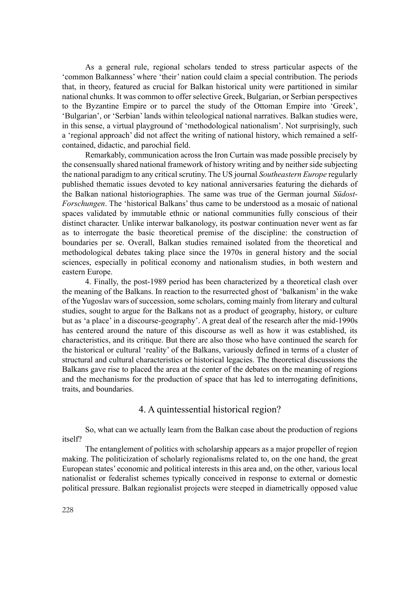As a general rule, regional scholars tended to stress particular aspects of the 'common Balkanness' where 'their' nation could claim a special contribution. The periods that, in theory, featured as crucial for Balkan historical unity were partitioned in similar national chunks. It was common to offer selective Greek, Bulgarian, or Serbian perspectives to the Byzantine Empire or to parcel the study of the Ottoman Empire into 'Greek', 'Bulgarian', or 'Serbian' lands within teleological national narratives. Balkan studies were, in this sense, a virtual playground of 'methodological nationalism'. Not surprisingly, such a 'regional approach' did not affect the writing of national history, which remained a selfcontained, didactic, and parochial field.

Remarkably, communication across the Iron Curtain was made possible precisely by the consensually shared national framework of history writing and by neither side subjecting the national paradigm to any critical scrutiny. The US journal *Southeastern Europe* regularly published thematic issues devoted to key national anniversaries featuring the diehards of the Balkan national historiographies. The same was true of the German journal *Südost-Forschungen*. The 'historical Balkans' thus came to be understood as a mosaic of national spaces validated by immutable ethnic or national communities fully conscious of their distinct character. Unlike interwar balkanology, its postwar continuation never went as far as to interrogate the basic theoretical premise of the discipline: the construction of boundaries per se. Overall, Balkan studies remained isolated from the theoretical and methodological debates taking place since the 1970s in general history and the social sciences, especially in political economy and nationalism studies, in both western and eastern Europe.

4. Finally, the post-1989 period has been characterized by a theoretical clash over the meaning of the Balkans. In reaction to the resurrected ghost of 'balkanism' in the wake of the Yugoslav wars of succession, some scholars, coming mainly from literary and cultural studies, sought to argue for the Balkans not as a product of geography, history, or culture but as 'a place' in a discourse-geography'. A great deal of the research after the mid-1990s has centered around the nature of this discourse as well as how it was established, its characteristics, and its critique. But there are also those who have continued the search for the historical or cultural 'reality' of the Balkans, variously defined in terms of a cluster of structural and cultural characteristics or historical legacies. The theoretical discussions the Balkans gave rise to placed the area at the center of the debates on the meaning of regions and the mechanisms for the production of space that has led to interrogating definitions, traits, and boundaries.

## 4. A quintessential historical region?

So, what can we actually learn from the Balkan case about the production of regions itself?

The entanglement of politics with scholarship appears as a major propeller of region making. The politicization of scholarly regionalisms related to, on the one hand, the great European states' economic and political interests in this area and, on the other, various local nationalist or federalist schemes typically conceived in response to external or domestic political pressure. Balkan regionalist projects were steeped in diametrically opposed value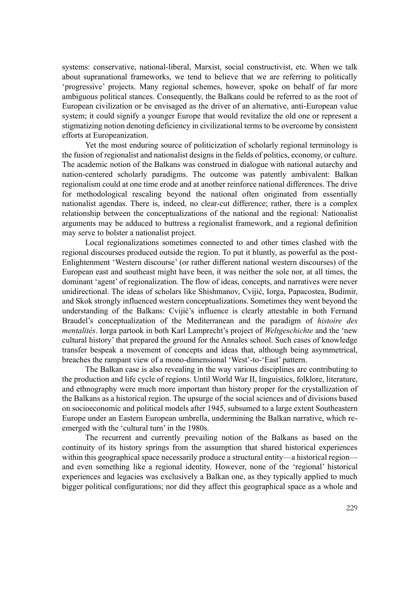systems: conservative, national-liberal, Marxist, social constructivist, etc. When we talk about supranational frameworks, we tend to believe that we are referring to politically 'progressive' projects. Many regional schemes, however, spoke on behalf of far more ambiguous political stances. Consequently, the Balkans could be referred to as the root of European civilization or be envisaged as the driver of an alternative, anti-European value system; it could signify a younger Europe that would revitalize the old one or represent a stigmatizing notion denoting deficiency in civilizational terms to be overcome by consistent efforts at Europeanization.

Yet the most enduring source of politicization of scholarly regional terminology is the fusion of regionalist and nationalist designs in the fields of politics, economy, or culture. The academic notion of the Balkans was construed in dialogue with national autarchy and nation-centered scholarly paradigms. The outcome was patently ambivalent: Balkan regionalism could at one time erode and at another reinforce national differences. The drive for methodological rescaling beyond the national often originated from essentially nationalist agendas. There is, indeed, no clear-cut difference; rather, there is a complex relationship between the conceptualizations of the national and the regional: Nationalist arguments may be adduced to buttress a regionalist framework, and a regional definition may serve to bolster a nationalist project.

Local regionalizations sometimes connected to and other times clashed with the regional discourses produced outside the region. To put it bluntly, as powerful as the post-Enlightenment 'Western discourse' (or rather different national western discourses) of the European east and southeast might have been, it was neither the sole nor, at all times, the dominant 'agent' of regionalization. The flow of ideas, concepts, and narratives were never unidirectional. The ideas of scholars like Shishmanov, Cvijić, Iorga, Papacostea, Budimir, and Skok strongly influenced western conceptualizations. Sometimes they went beyond the understanding of the Balkans: Cvijić's influence is clearly attestable in both Fernand Braudel's conceptualization of the Mediterranean and the paradigm of *histoire des mentalités*. Iorga partook in both Karl Lamprecht's project of *Weltgeschichte* and the 'new cultural history' that prepared the ground for the Annales school. Such cases of knowledge transfer bespeak a movement of concepts and ideas that, although being asymmetrical, breaches the rampant view of a mono-dimensional 'West'-to-'East' pattern.

The Balkan case is also revealing in the way various disciplines are contributing to the production and life cycle of regions. Until World War II, linguistics, folklore, literature, and ethnography were much more important than history proper for the crystallization of the Balkans as a historical region. The upsurge of the social sciences and of divisions based on socioeconomic and political models after 1945, subsumed to a large extent Southeastern Europe under an Eastern European umbrella, undermining the Balkan narrative, which reemerged with the 'cultural turn' in the 1980s.

The recurrent and currently prevailing notion of the Balkans as based on the continuity of its history springs from the assumption that shared historical experiences within this geographical space necessarily produce a structural entity—a historical region and even something like a regional identity. However, none of the 'regional' historical experiences and legacies was exclusively a Balkan one, as they typically applied to much bigger political configurations; nor did they affect this geographical space as a whole and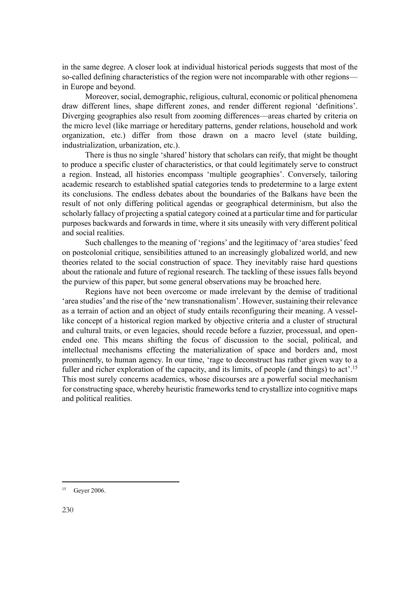in the same degree. A closer look at individual historical periods suggests that most of the so-called defining characteristics of the region were not incomparable with other regions in Europe and beyond.

Moreover, social, demographic, religious, cultural, economic or political phenomena draw different lines, shape different zones, and render different regional 'definitions'. Diverging geographies also result from zooming differences—areas charted by criteria on the micro level (like marriage or hereditary patterns, gender relations, household and work organization, etc.) differ from those drawn on a macro level (state building, industrialization, urbanization, etc.).

There is thus no single 'shared' history that scholars can reify, that might be thought to produce a specific cluster of characteristics, or that could legitimately serve to construct a region. Instead, all histories encompass 'multiple geographies'. Conversely, tailoring academic research to established spatial categories tends to predetermine to a large extent its conclusions. The endless debates about the boundaries of the Balkans have been the result of not only differing political agendas or geographical determinism, but also the scholarly fallacy of projecting a spatial category coined at a particular time and for particular purposes backwards and forwards in time, where it sits uneasily with very different political and social realities.

Such challenges to the meaning of 'regions' and the legitimacy of 'area studies' feed on postcolonial critique, sensibilities attuned to an increasingly globalized world, and new theories related to the social construction of space. They inevitably raise hard questions about the rationale and future of regional research. The tackling of these issues falls beyond the purview of this paper, but some general observations may be broached here.

Regions have not been overcome or made irrelevant by the demise of traditional 'area studies' and the rise of the 'new transnationalism'. However, sustaining their relevance as a terrain of action and an object of study entails reconfiguring their meaning. A vessellike concept of a historical region marked by objective criteria and a cluster of structural and cultural traits, or even legacies, should recede before a fuzzier, processual, and openended one. This means shifting the focus of discussion to the social, political, and intellectual mechanisms effecting the materialization of space and borders and, most prominently, to human agency. In our time, 'rage to deconstruct has rather given way to a fuller and richer exploration of the capacity, and its limits, of people (and things) to act'.<sup>15</sup> This most surely concerns academics, whose discourses are a powerful social mechanism for constructing space, whereby heuristic frameworks tend to crystallize into cognitive maps and political realities.

<sup>15</sup> Geyer 2006.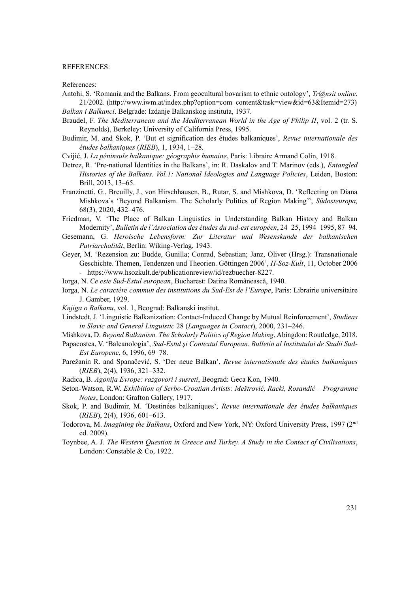#### REFERENCES:

References:

Antohi, S. 'Romania and the Balkans. From geocultural bovarism to ethnic ontology', *Tr@nsit online*, 21/2002. (http://www.iwm.at/index.php?option=com\_content&task=view&id=63&Itemid=273)

*Balkan i Balkanci*. Belgrade: Izdanje Balkanskog instituta, 1937.

- Braudel, F. *The Mediterranean and the Mediterranean World in the Age of Philip II*, vol. 2 (tr. S. Reynolds), Berkeley: University of California Press, 1995.
- Budimir, M. and Skok, P. 'But et signification des études balkaniques', *Revue internationale des études balkaniques* (*RIEB*), 1, 1934, 1–28.

Cvijić, J. *La péninsule balkanique: géographie humaine*, Paris: Libraire Armand Colin, 1918.

- Detrez, R. 'Pre-national Identities in the Balkans', in: R. Daskalov and T. Marinov (eds.), *Entangled Histories of the Balkans. Vol.1: National Ideologies and Language Policies*, Leiden, Boston: Brill, 2013, 13–65.
- Franzinetti, G., Breuilly, J., von Hirschhausen, B., Rutar, S. and Mishkova, D. 'Reflecting on Diana Mishkova's 'Beyond Balkanism. The Scholarly Politics of Region Making'', *Südosteuropa,* 68(3), 2020, 432–476.

Friedman, V. 'The Place of Balkan Linguistics in Understanding Balkan History and Balkan Modernity', *Bulletin de l'Association des études du sud-est européen*, 24–25, 1994–1995, 87–94.

- Gesemann, G. *Heroische Lebensform: Zur Literatur und Wesenskunde der balkanischen Patriarchalität*, Berlin: Wiking-Verlag, 1943.
- Geyer, M. 'Rezension zu: Budde, Gunilla; Conrad, Sebastian; Janz, Oliver (Hrsg.): Transnationale Geschichte. Themen, Tendenzen und Theorien. Göttingen 2006', *H-Soz-Kult*, 11, October 2006 - https://www.hsozkult.de/publicationreview/id/rezbuecher-8227.
- Iorga, N. *Ce este Sud-Estul european*, Bucharest: Datina Românească, 1940.
- Iorga, N. *Le caractère commun des institutions du Sud-Est de l'Europe*, Paris: Librairie universitaire J. Gamber, 1929.
- *Knjiga o Balkanu*, vol. 1, Beograd: Balkanski institut.
- Lindstedt, J. 'Linguistic Balkanization: Contact-Induced Change by Mutual Reinforcement', *Studieas in Slavic and General Linguistic* 28 (*Languages in Contact*), 2000, 231–246.
- Mishkova, D. *Beyond Balkanism. The Scholarly Politics of Region Making*, Abingdon: Routledge, 2018.
- Papacostea, V. 'Balcanologia', *Sud-Estul şi Contextul European. Bulletin al Institutului de Studii Sud-Est Europene*, 6, 1996, 69–78.
- Parežanin R. and Spanačević, S. 'Der neue Balkan', *Revue internationale des études balkaniques* (*RIEB*), 2(4), 1936, 321–332.
- Radica, B. *Agonija Evrope: razgovori i susreti*, Beograd: Geca Kon, 1940.
- Seton-Watson, R.W. *Exhibition of Serbo-Croatian Artists: Meštrović, Racki, Rosandić – Programme Notes*, London: Grafton Gallery, 1917.
- Skok, P. and Budimir, M. 'Destinées balkaniques', *Revue internationale des études balkaniques* (*RIEB*), 2(4), 1936, 601–613.
- Todorova, M. *Imagining the Balkans*, Oxford and New York, NY: Oxford University Press, 1997 (2nd ed. 2009).
- Toynbee, A. J. *The Western Question in Greece and Turkey. A Study in the Contact of Civilisations*, London: Constable & Co, 1922.